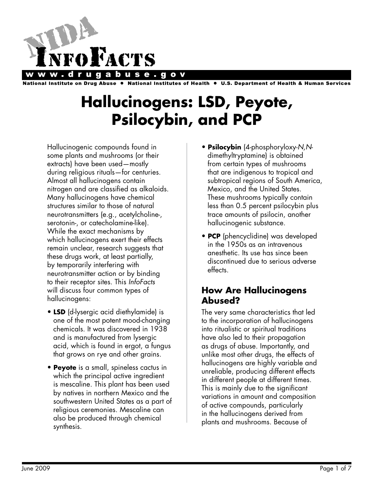

National Institute on Drug Abuse · National Institutes of Health · U.S. Department of Health & Human Services

# **Hallucinogens: LSD, Peyote, Psilocybin, and PCP**

Hallucinogenic compounds found in some plants and mushrooms (or their extracts) have been used—mostly during religious rituals—for centuries. Almost all hallucinogens contain nitrogen and are classified as alkaloids. Many hallucinogens have chemical structures similar to those of natural neurotransmitters (e.g., acetylcholine-, serotonin-, or catecholamine-like). While the exact mechanisms by which hallucinogens exert their effects remain unclear, research suggests that these drugs work, at least partially, by temporarily interfering with neurotransmitter action or by binding to their receptor sites. This *InfoFacts* will discuss four common types of hallucinogens:

- **LSD** (d-lysergic acid diethylamide) is one of the most potent mood-changing chemicals. It was discovered in 1938 and is manufactured from lysergic acid, which is found in ergot, a fungus that grows on rye and other grains.
- **Peyote** is a small, spineless cactus in which the principal active ingredient is mescaline. This plant has been used by natives in northern Mexico and the southwestern United States as a part of religious ceremonies. Mescaline can also be produced through chemical synthesis.
- **Psilocybin** (4-phosphoryloxy-*N,N*dimethyltryptamine) is obtained from certain types of mushrooms that are indigenous to tropical and subtropical regions of South America, Mexico, and the United States. These mushrooms typically contain less than 0.5 percent psilocybin plus trace amounts of psilocin, another hallucinogenic substance.
- **PCP** (phencyclidine) was developed in the 1950s as an intravenous anesthetic. Its use has since been discontinued due to serious adverse effects.

## **How Are Hallucinogens Abused?**

The very same characteristics that led to the incorporation of hallucinogens into ritualistic or spiritual traditions have also led to their propagation as drugs of abuse. Importantly, and unlike most other drugs, the effects of hallucinogens are highly variable and unreliable, producing different effects in different people at different times. This is mainly due to the significant variations in amount and composition of active compounds, particularly in the hallucinogens derived from plants and mushrooms. Because of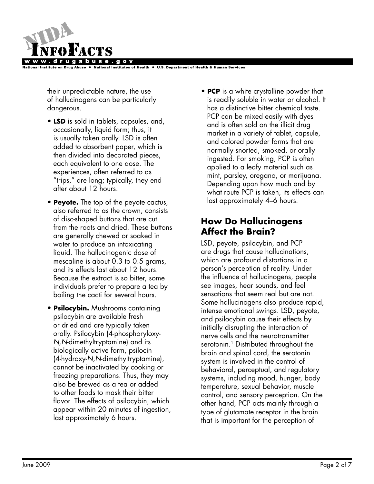

• National Institutes of Health • U.S. Department of Health & Human Services

their unpredictable nature, the use of hallucinogens can be particularly dangerous.

- **LSD** is sold in tablets, capsules, and, occasionally, liquid form; thus, it is usually taken orally. LSD is often added to absorbent paper, which is then divided into decorated pieces, each equivalent to one dose. The experiences, often referred to as "trips," are long; typically, they end after about 12 hours.
- **Peyote.** The top of the peyote cactus, also referred to as the crown, consists of disc-shaped buttons that are cut from the roots and dried. These buttons are generally chewed or soaked in water to produce an intoxicating liquid. The hallucinogenic dose of mescaline is about 0.3 to 0.5 grams, and its effects last about 12 hours. Because the extract is so bitter, some individuals prefer to prepare a tea by boiling the cacti for several hours.
- **Psilocybin.** Mushrooms containing psilocybin are available fresh or dried and are typically taken orally. Psilocybin (4-phosphoryloxy-*N,N*-dimethyltryptamine) and its biologically active form, psilocin (4-hydroxy-*N,N*-dimethyltryptamine), cannot be inactivated by cooking or freezing preparations. Thus, they may also be brewed as a tea or added to other foods to mask their bitter flavor. The effects of psilocybin, which appear within 20 minutes of ingestion, last approximately 6 hours.

• **PCP** is a white crystalline powder that is readily soluble in water or alcohol. It has a distinctive bitter chemical taste. PCP can be mixed easily with dyes and is often sold on the illicit drug market in a variety of tablet, capsule, and colored powder forms that are normally snorted, smoked, or orally ingested. For smoking, PCP is often applied to a leafy material such as mint, parsley, oregano, or marijuana. Depending upon how much and by what route PCP is taken, its effects can last approximately 4–6 hours.

## **How Do Hallucinogens Affect the Brain?**

LSD, peyote, psilocybin, and PCP are drugs that cause hallucinations, which are profound distortions in a person's perception of reality. Under the influence of hallucinogens, people see images, hear sounds, and feel sensations that seem real but are not. Some hallucinogens also produce rapid, intense emotional swings. LSD, peyote, and psilocybin cause their effects by initially disrupting the interaction of nerve cells and the neurotransmitter serotonin.<sup>1</sup> Distributed throughout the brain and spinal cord, the serotonin system is involved in the control of behavioral, perceptual, and regulatory systems, including mood, hunger, body temperature, sexual behavior, muscle control, and sensory perception. On the other hand, PCP acts mainly through a type of glutamate receptor in the brain that is important for the perception of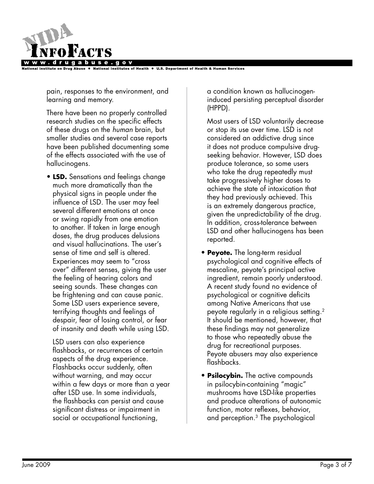

ational Institute on Drug Abuse ● National Institutes of Health ● U.S. Department of Health & Human Services

pain, responses to the environment, and learning and memory.

There have been no properly controlled research studies on the specific effects of these drugs on the *human* brain, but smaller studies and several case reports have been published documenting some of the effects associated with the use of hallucinogens.

• **LSD.** Sensations and feelings change much more dramatically than the physical signs in people under the influence of LSD. The user may feel several different emotions at once or swing rapidly from one emotion to another. If taken in large enough doses, the drug produces delusions and visual hallucinations. The user's sense of time and self is altered. Experiences may seem to "cross over" different senses, giving the user the feeling of hearing colors and seeing sounds. These changes can be frightening and can cause panic. Some LSD users experience severe, terrifying thoughts and feelings of despair, fear of losing control, or fear of insanity and death while using LSD.

LSD users can also experience flashbacks, or recurrences of certain aspects of the drug experience. Flashbacks occur suddenly, often without warning, and may occur within a few days or more than a year after LSD use. In some individuals, the flashbacks can persist and cause significant distress or impairment in social or occupational functioning,

a condition known as hallucinogeninduced persisting perceptual disorder (HPPD).

Most users of LSD voluntarily decrease or stop its use over time. LSD is not considered an addictive drug since it does not produce compulsive drugseeking behavior. However, LSD does produce tolerance, so some users who take the drug repeatedly must take progressively higher doses to achieve the state of intoxication that they had previously achieved. This is an extremely dangerous practice, given the unpredictability of the drug. In addition, cross-tolerance between LSD and other hallucinogens has been reported.

- **Peyote.** The long-term residual psychological and cognitive effects of mescaline, peyote's principal active ingredient, remain poorly understood. A recent study found no evidence of psychological or cognitive deficits among Native Americans that use peyote regularly in a religious setting.2 It should be mentioned, however, that these findings may not generalize to those who repeatedly abuse the drug for recreational purposes. Peyote abusers may also experience flashbacks.
- **Psilocybin.** The active compounds in psilocybin-containing "magic" mushrooms have LSD-like properties and produce alterations of autonomic function, motor reflexes, behavior, and perception.3 The psychological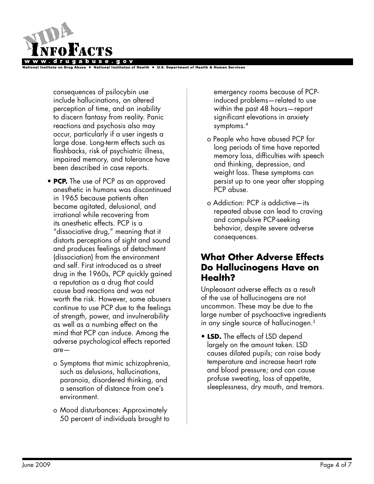

• National Institutes of Health • U.S. Department of Health & Human Services

consequences of psilocybin use include hallucinations, an altered perception of time, and an inability to discern fantasy from reality. Panic reactions and psychosis also may occur, particularly if a user ingests a large dose. Long-term effects such as flashbacks, risk of psychiatric illness, impaired memory, and tolerance have been described in case reports.

- **PCP.** The use of PCP as an approved anesthetic in humans was discontinued in 1965 because patients often became agitated, delusional, and irrational while recovering from its anesthetic effects. PCP is a "dissociative drug," meaning that it distorts perceptions of sight and sound and produces feelings of detachment (dissociation) from the environment and self. First introduced as a street drug in the 1960s, PCP quickly gained a reputation as a drug that could cause bad reactions and was not worth the risk. However, some abusers continue to use PCP due to the feelings of strength, power, and invulnerability as well as a numbing effect on the mind that PCP can induce. Among the adverse psychological effects reported are
	- o Symptoms that mimic schizophrenia, such as delusions, hallucinations, paranoia, disordered thinking, and a sensation of distance from one's environment.
	- o Mood disturbances: Approximately 50 percent of individuals brought to

emergency rooms because of PCPinduced problems—related to use within the past 48 hours—report significant elevations in anxiety symptoms.4

- o People who have abused PCP for long periods of time have reported memory loss, difficulties with speech and thinking, depression, and weight loss. These symptoms can persist up to one year after stopping PCP abuse.
- o Addiction: PCP *is* addictive—its repeated abuse can lead to craving and compulsive PCP-seeking behavior, despite severe adverse consequences.

## **What Other Adverse Effects Do Hallucinogens Have on Health?**

Unpleasant adverse effects as a result of the use of hallucinogens are not uncommon. These may be due to the large number of psychoactive ingredients in any single source of hallucinogen.3

• **LSD.** The effects of LSD depend largely on the amount taken. LSD causes dilated pupils; can raise body temperature and increase heart rate and blood pressure; and can cause profuse sweating, loss of appetite, sleeplessness, dry mouth, and tremors.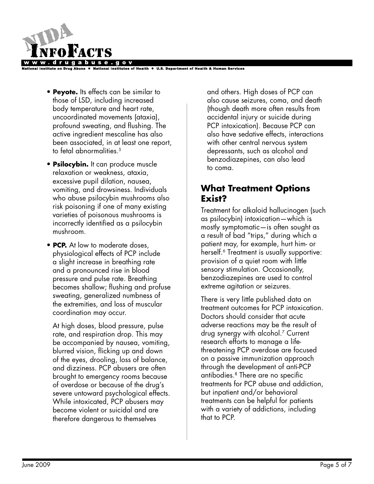

ational Institute on Drug Abuse ● National Institutes of Health ● U.S. Department of Health & Human Services

- **Peyote.** Its effects can be similar to those of LSD, including increased body temperature and heart rate, uncoordinated movements (ataxia), profound sweating, and flushing. The active ingredient mescaline has also been associated, in at least one report, to fetal abnormalities.<sup>5</sup>
- **Psilocybin.** It can produce muscle relaxation or weakness, ataxia, excessive pupil dilation, nausea, vomiting, and drowsiness. Individuals who abuse psilocybin mushrooms also risk poisoning if one of many existing varieties of poisonous mushrooms is incorrectly identified as a psilocybin mushroom.
- **PCP.** At low to moderate doses, physiological effects of PCP include a slight increase in breathing rate and a pronounced rise in blood pressure and pulse rate. Breathing becomes shallow; flushing and profuse sweating, generalized numbness of the extremities, and loss of muscular coordination may occur.

At high doses, blood pressure, pulse rate, and respiration drop. This may be accompanied by nausea, vomiting, blurred vision, flicking up and down of the eyes, drooling, loss of balance, and dizziness. PCP abusers are often brought to emergency rooms because of overdose or because of the drug's severe untoward psychological effects. While intoxicated, PCP abusers may become violent or suicidal and are therefore dangerous to themselves

and others. High doses of PCP can also cause seizures, coma, and death (though death more often results from accidental injury or suicide during PCP intoxication). Because PCP can also have sedative effects, interactions with other central nervous system depressants, such as alcohol and benzodiazepines, can also lead to coma.

## **What Treatment Options Exist?**

Treatment for alkaloid hallucinogen (such as psilocybin) intoxication—which is mostly symptomatic—is often sought as a result of bad "trips," during which a patient may, for example, hurt him- or herself.<sup>6</sup> Treatment is usually supportive: provision of a quiet room with little sensory stimulation. Occasionally, benzodiazepines are used to control extreme agitation or seizures.

There is very little published data on treatment outcomes for PCP intoxication. Doctors should consider that acute adverse reactions may be the result of drug synergy with alcohol.7 Current research efforts to manage a lifethreatening PCP overdose are focused on a passive immunization approach through the development of anti-PCP antibodies.8 There are no specific treatments for PCP abuse and addiction, but inpatient and/or behavioral treatments can be helpful for patients with a variety of addictions, including that to PCP.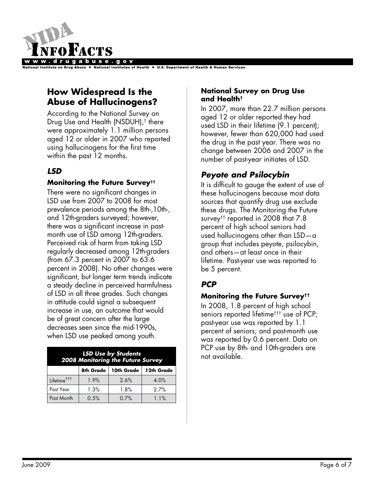

• National Institutes of Health • U.S. Department of Health & Human Services ational Institute on Drug Abuse

## **How Widespread Is the Abuse of Hallucinogens?**

According to the National Survey on Drug Use and Health (NSDUH),† there were approximately 1.1 million persons aged 12 or older in 2007 who reported using hallucinogens for the first time within the past 12 months.

## *LSD*

#### **Monitoring the Future Survey††**

There were no significant changes in LSD use from 2007 to 2008 for most prevalence periods among the 8th-,10th-, and 12th-graders surveyed; however, there was a significant increase in pastmonth use of LSD among 12th-graders. Perceived risk of harm from taking LSD regularly decreased among 12th-graders (from 67.3 percent in 2007 to 63.6 percent in 2008). No other changes were significant, but longer term trends indicate a steady decline in perceived harmfulness of LSD in all three grades. Such changes in attitude could signal a subsequent increase in use, an outcome that would be of great concern after the large decreases seen since the mid-1990s, when LSD use peaked among youth.

| <b>LSD Use by Students</b><br><b>2008 Monitoring the Future Survey</b> |                  |            |            |
|------------------------------------------------------------------------|------------------|------------|------------|
|                                                                        | <b>8th Grade</b> | 10th Grade | 12th Grade |
| Lifetime <sup>†††</sup>                                                | 1.9%             | 2.6%       | 4.0%       |
| Past Year                                                              | 1.3%             | 1.8%       | 2.7%       |
| Past Month                                                             | 0.5%             | 0.7%       | 1.1%       |

#### **National Survey on Drug Use and Health†**

In 2007, more than 22.7 million persons aged 12 or older reported they had used LSD in their lifetime (9.1 percent); however, fewer than 620,000 had used the drug in the past year. There was no change between 2006 and 2007 in the number of past-year initiates of LSD.

## *Peyote and Psilocybin*

It is difficult to gauge the extent of use of these hallucinogens because most data sources that quantify drug use exclude these drugs. The Monitoring the Future survey†† reported in 2008 that 7.8 percent of high school seniors had used hallucinogens other than LSD—a group that includes peyote, psilocybin, and others—at least once in their lifetime. Past-year use was reported to be 5 percent.

## *PCP*

### **Monitoring the Future Survey††**

In 2008, 1.8 percent of high school seniors reported lifetime††† use of PCP; past-year use was reported by 1.1 percent of seniors; and past-month use was reported by 0.6 percent. Data on PCP use by 8th- and 10th-graders are not available.